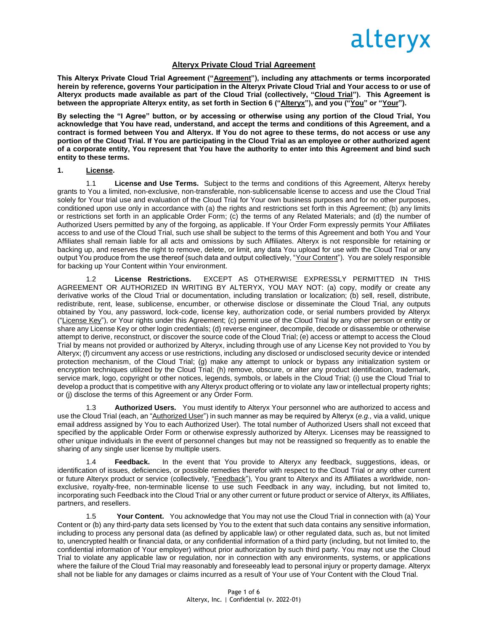

### **Alteryx Private Cloud Trial Agreement**

This Alteryx Private Cloud Trial Agreement ("Agreement"), including any attachments or terms incorporated **herein by reference, governs Your participation in the Alteryx Private Cloud Trial and Your access to or use of Alteryx products made available as part of the Cloud Trial (collectively, "Cloud Trial"). This Agreement is between the appropriate Alteryx entity, as set forth in Section 6 ("Alteryx"), and you ("You" or "Your").**

**By selecting the "I Agree" button, or by accessing or otherwise using any portion of the Cloud Trial, You acknowledge that You have read, understand, and accept the terms and conditions of this Agreement, and a contract is formed between You and Alteryx. If You do not agree to these terms, do not access or use any portion of the Cloud Trial. If You are participating in the Cloud Trial as an employee or other authorized agent of a corporate entity, You represent that You have the authority to enter into this Agreement and bind such entity to these terms.**

#### **1. License.**

1.1 **License and Use Terms.** Subject to the terms and conditions of this Agreement, Alteryx hereby grants to You a limited, non-exclusive, non-transferable, non-sublicensable license to access and use the Cloud Trial solely for Your trial use and evaluation of the Cloud Trial for Your own business purposes and for no other purposes, conditioned upon use only in accordance with (a) the rights and restrictions set forth in this Agreement; (b) any limits or restrictions set forth in an applicable Order Form; (c) the terms of any Related Materials; and (d) the number of Authorized Users permitted by any of the forgoing, as applicable. If Your Order Form expressly permits Your Affiliates access to and use of the Cloud Trial, such use shall be subject to the terms of this Agreement and both You and Your Affiliates shall remain liable for all acts and omissions by such Affiliates. Alteryx is not responsible for retaining or backing up, and reserves the right to remove, delete, or limit, any data You upload for use with the Cloud Trial or any output You produce from the use thereof (such data and output collectively, "Your Content"). You are solely responsible for backing up Your Content within Your environment.

1.2 **License Restrictions.** EXCEPT AS OTHERWISE EXPRESSLY PERMITTED IN THIS AGREEMENT OR AUTHORIZED IN WRITING BY ALTERYX, YOU MAY NOT: (a) copy, modify or create any derivative works of the Cloud Trial or documentation, including translation or localization; (b) sell, resell, distribute, redistribute, rent, lease, sublicense, encumber, or otherwise disclose or disseminate the Cloud Trial, any outputs obtained by You, any password, lock-code, license key, authorization code, or serial numbers provided by Alteryx ("License Key"), or Your rights under this Agreement; (c) permit use of the Cloud Trial by any other person or entity or share any License Key or other login credentials; (d) reverse engineer, decompile, decode or disassemble or otherwise attempt to derive, reconstruct, or discover the source code of the Cloud Trial; (e) access or attempt to access the Cloud Trial by means not provided or authorized by Alteryx, including through use of any License Key not provided to You by Alteryx; (f) circumvent any access or use restrictions, including any disclosed or undisclosed security device or intended protection mechanism, of the Cloud Trial; (g) make any attempt to unlock or bypass any initialization system or encryption techniques utilized by the Cloud Trial; (h) remove, obscure, or alter any product identification, trademark, service mark, logo, copyright or other notices, legends, symbols, or labels in the Cloud Trial; (i) use the Cloud Trial to develop a product that is competitive with any Alteryx product offering or to violate any law or intellectual property rights; or (j) disclose the terms of this Agreement or any Order Form.

1.3 **Authorized Users.** You must identify to Alteryx Your personnel who are authorized to access and use the Cloud Trial (each, an "Authorized User") in such manner as may be required by Alteryx (*e.g.,* via a valid, unique email address assigned by You to each Authorized User). The total number of Authorized Users shall not exceed that specified by the applicable Order Form or otherwise expressly authorized by Alteryx. Licenses may be reassigned to other unique individuals in the event of personnel changes but may not be reassigned so frequently as to enable the sharing of any single user license by multiple users.

1.4 **Feedback.** In the event that You provide to Alteryx any feedback, suggestions, ideas, or identification of issues, deficiencies, or possible remedies therefor with respect to the Cloud Trial or any other current or future Alteryx product or service (collectively, "Feedback"), You grant to Alteryx and its Affiliates a worldwide, nonexclusive, royalty-free, non-terminable license to use such Feedback in any way, including, but not limited to, incorporating such Feedback into the Cloud Trial or any other current or future product or service of Alteryx, its Affiliates, partners, and resellers.

1.5 **Your Content.** You acknowledge that You may not use the Cloud Trial in connection with (a) Your Content or (b) any third-party data sets licensed by You to the extent that such data contains any sensitive information, including to process any personal data (as defined by applicable law) or other regulated data, such as, but not limited to, unencrypted health or financial data, or any confidential information of a third party (including, but not limited to, the confidential information of Your employer) without prior authorization by such third party. You may not use the Cloud Trial to violate any applicable law or regulation, nor in connection with any environments, systems, or applications where the failure of the Cloud Trial may reasonably and foreseeably lead to personal injury or property damage. Alteryx shall not be liable for any damages or claims incurred as a result of Your use of Your Content with the Cloud Trial.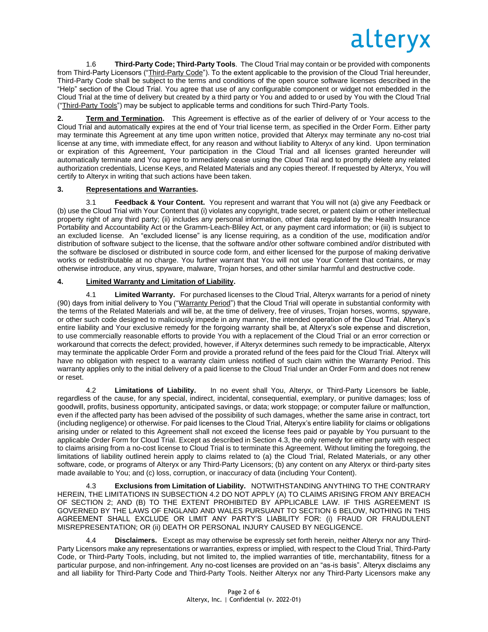1.6 **Third-Party Code; Third-Party Tools**. The Cloud Trial may contain or be provided with components from Third-Party Licensors ("Third-Party Code"). To the extent applicable to the provision of the Cloud Trial hereunder, Third-Party Code shall be subject to the terms and conditions of the open source software licenses described in the "Help" section of the Cloud Trial. You agree that use of any configurable component or widget not embedded in the Cloud Trial at the time of delivery but created by a third party or You and added to or used by You with the Cloud Trial ("Third-Party Tools") may be subject to applicable terms and conditions for such Third-Party Tools.

**2. Term and Termination.** This Agreement is effective as of the earlier of delivery of or Your access to the Cloud Trial and automatically expires at the end of Your trial license term, as specified in the Order Form. Either party may terminate this Agreement at any time upon written notice, provided that Alteryx may terminate any no-cost trial license at any time, with immediate effect, for any reason and without liability to Alteryx of any kind. Upon termination or expiration of this Agreement, Your participation in the Cloud Trial and all licenses granted hereunder will automatically terminate and You agree to immediately cease using the Cloud Trial and to promptly delete any related authorization credentials, License Keys, and Related Materials and any copies thereof. If requested by Alteryx, You will certify to Alteryx in writing that such actions have been taken.

## **3. Representations and Warranties.**

3.1 **Feedback & Your Content.** You represent and warrant that You will not (a) give any Feedback or (b) use the Cloud Trial with Your Content that (i) violates any copyright, trade secret, or patent claim or other intellectual property right of any third party; (ii) includes any personal information, other data regulated by the Health Insurance Portability and Accountability Act or the Gramm-Leach-Bliley Act, or any payment card information; or (iii) is subject to an excluded license. An "excluded license" is any license requiring, as a condition of the use, modification and/or distribution of software subject to the license, that the software and/or other software combined and/or distributed with the software be disclosed or distributed in source code form, and either licensed for the purpose of making derivative works or redistributable at no charge. You further warrant that You will not use Your Content that contains, or may otherwise introduce, any virus, spyware, malware, Trojan horses, and other similar harmful and destructive code.

### **4. Limited Warranty and Limitation of Liability.**

4.1 **Limited Warranty.** For purchased licenses to the Cloud Trial, Alteryx warrants for a period of ninety (90) days from initial delivery to You ("Warranty Period") that the Cloud Trial will operate in substantial conformity with the terms of the Related Materials and will be, at the time of delivery, free of viruses, Trojan horses, worms, spyware, or other such code designed to maliciously impede in any manner, the intended operation of the Cloud Trial. Alteryx's entire liability and Your exclusive remedy for the forgoing warranty shall be, at Alteryx's sole expense and discretion, to use commercially reasonable efforts to provide You with a replacement of the Cloud Trial or an error correction or workaround that corrects the defect; provided, however, if Alteryx determines such remedy to be impracticable, Alteryx may terminate the applicable Order Form and provide a prorated refund of the fees paid for the Cloud Trial. Alteryx will have no obligation with respect to a warranty claim unless notified of such claim within the Warranty Period. This warranty applies only to the initial delivery of a paid license to the Cloud Trial under an Order Form and does not renew or reset.

4.2 **Limitations of Liability.** In no event shall You, Alteryx, or Third-Party Licensors be liable, regardless of the cause, for any special, indirect, incidental, consequential, exemplary, or punitive damages; loss of goodwill, profits, business opportunity, anticipated savings, or data; work stoppage; or computer failure or malfunction, even if the affected party has been advised of the possibility of such damages, whether the same arise in contract, tort (including negligence) or otherwise. For paid licenses to the Cloud Trial, Alteryx's entire liability for claims or obligations arising under or related to this Agreement shall not exceed the license fees paid or payable by You pursuant to the applicable Order Form for Cloud Trial. Except as described in Section 4.3, the only remedy for either party with respect to claims arising from a no-cost license to Cloud Trial is to terminate this Agreement. Without limiting the foregoing, the limitations of liability outlined herein apply to claims related to (a) the Cloud Trial, Related Materials, or any other software, code, or programs of Alteryx or any Third-Party Licensors; (b) any content on any Alteryx or third-party sites made available to You; and (c) loss, corruption, or inaccuracy of data (including Your Content).

4.3 **Exclusions from Limitation of Liability.** NOTWITHSTANDING ANYTHING TO THE CONTRARY HEREIN, THE LIMITATIONS IN SUBSECTION 4.2 DO NOT APPLY (A) TO CLAIMS ARISING FROM ANY BREACH OF SECTION 2; AND (B) TO THE EXTENT PROHIBITED BY APPLICABLE LAW. IF THIS AGREEMENT IS GOVERNED BY THE LAWS OF ENGLAND AND WALES PURSUANT TO SECTION 6 BELOW, NOTHING IN THIS AGREEMENT SHALL EXCLUDE OR LIMIT ANY PARTY'S LIABILITY FOR: (i) FRAUD OR FRAUDULENT MISREPRESENTATION; OR (ii) DEATH OR PERSONAL INJURY CAUSED BY NEGLIGENCE.

4.4 **Disclaimers.** Except as may otherwise be expressly set forth herein, neither Alteryx nor any Third-Party Licensors make any representations or warranties, express or implied, with respect to the Cloud Trial, Third-Party Code, or Third-Party Tools, including, but not limited to, the implied warranties of title, merchantability, fitness for a particular purpose, and non-infringement. Any no-cost licenses are provided on an "as-is basis". Alteryx disclaims any and all liability for Third-Party Code and Third-Party Tools. Neither Alteryx nor any Third-Party Licensors make any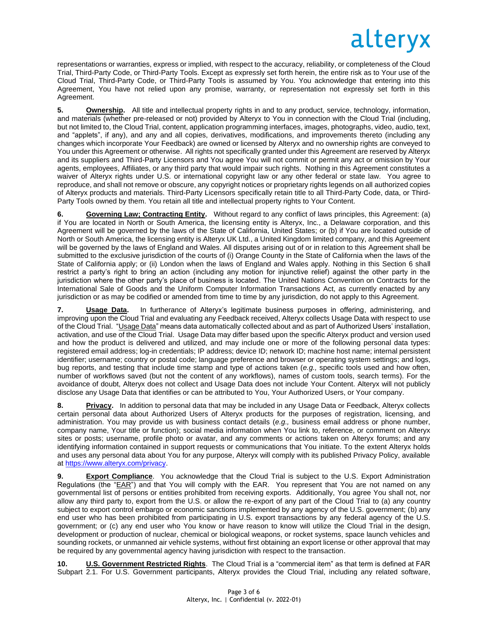representations or warranties, express or implied, with respect to the accuracy, reliability, or completeness of the Cloud Trial, Third-Party Code, or Third-Party Tools. Except as expressly set forth herein, the entire risk as to Your use of the Cloud Trial, Third-Party Code, or Third-Party Tools is assumed by You. You acknowledge that entering into this Agreement, You have not relied upon any promise, warranty, or representation not expressly set forth in this Agreement.

**5. Ownership.** All title and intellectual property rights in and to any product, service, technology, information, and materials (whether pre-released or not) provided by Alteryx to You in connection with the Cloud Trial (including, but not limited to, the Cloud Trial, content, application programming interfaces, images, photographs, video, audio, text, and "applets", if any), and any and all copies, derivatives, modifications, and improvements thereto (including any changes which incorporate Your Feedback) are owned or licensed by Alteryx and no ownership rights are conveyed to You under this Agreement or otherwise. All rights not specifically granted under this Agreement are reserved by Alteryx and its suppliers and Third-Party Licensors and You agree You will not commit or permit any act or omission by Your agents, employees, Affiliates, or any third party that would impair such rights. Nothing in this Agreement constitutes a waiver of Alteryx rights under U.S. or international copyright law or any other federal or state law. You agree to reproduce, and shall not remove or obscure, any copyright notices or proprietary rights legends on all authorized copies of Alteryx products and materials. Third-Party Licensors specifically retain title to all Third-Party Code, data, or Third-Party Tools owned by them. You retain all title and intellectual property rights to Your Content.

**6. Governing Law; Contracting Entity.** Without regard to any conflict of laws principles, this Agreement: (a) if You are located in North or South America, the licensing entity is Alteryx, Inc., a Delaware corporation, and this Agreement will be governed by the laws of the State of California, United States; or (b) if You are located outside of North or South America, the licensing entity is Alteryx UK Ltd., a United Kingdom limited company, and this Agreement will be governed by the laws of England and Wales. All disputes arising out of or in relation to this Agreement shall be submitted to the exclusive jurisdiction of the courts of (i) Orange County in the State of California when the laws of the State of California apply; or (ii) London when the laws of England and Wales apply. Nothing in this Section 6 shall restrict a party's right to bring an action (including any motion for injunctive relief) against the other party in the jurisdiction where the other party's place of business is located. The United Nations Convention on Contracts for the International Sale of Goods and the Uniform Computer Information Transactions Act, as currently enacted by any jurisdiction or as may be codified or amended from time to time by any jurisdiction, do not apply to this Agreement.

**7. Usage Data.** In furtherance of Alteryx's legitimate business purposes in offering, administering, and improving upon the Cloud Trial and evaluating any Feedback received, Alteryx collects Usage Data with respect to use of the Cloud Trial. "Usage Data" means data automatically collected about and as part of Authorized Users' installation, activation, and use of the Cloud Trial. Usage Data may differ based upon the specific Alteryx product and version used and how the product is delivered and utilized, and may include one or more of the following personal data types: registered email address; log-in credentials; IP address; device ID; network ID; machine host name; internal persistent identifier; username; country or postal code; language preference and browser or operating system settings; and logs, bug reports, and testing that include time stamp and type of actions taken (*e.g.,* specific tools used and how often, number of workflows saved (but not the content of any workflows), names of custom tools, search terms). For the avoidance of doubt, Alteryx does not collect and Usage Data does not include Your Content. Alteryx will not publicly disclose any Usage Data that identifies or can be attributed to You, Your Authorized Users, or Your company.

**8. Privacy.** In addition to personal data that may be included in any Usage Data or Feedback, Alteryx collects certain personal data about Authorized Users of Alteryx products for the purposes of registration, licensing, and administration. You may provide us with business contact details (*e.g.,* business email address or phone number, company name, Your title or function); social media information when You link to, reference, or comment on Alteryx sites or posts; username, profile photo or avatar, and any comments or actions taken on Alteryx forums; and any identifying information contained in support requests or communications that You initiate. To the extent Alteryx holds and uses any personal data about You for any purpose, Alteryx will comply with its published Privacy Policy, available at [https://www.alteryx.com/privacy.](https://www.alteryx.com/privacy)

**9. Export Compliance**.You acknowledge that the Cloud Trial is subject to the U.S. Export Administration Regulations (the "EAR") and that You will comply with the EAR. You represent that You are not named on any governmental list of persons or entities prohibited from receiving exports. Additionally, You agree You shall not, nor allow any third party to, export from the U.S. or allow the re-export of any part of the Cloud Trial to (a) any country subject to export control embargo or economic sanctions implemented by any agency of the U.S. government; (b) any end user who has been prohibited from participating in U.S. export transactions by any federal agency of the U.S. government; or (c) any end user who You know or have reason to know will utilize the Cloud Trial in the design, development or production of nuclear, chemical or biological weapons, or rocket systems, space launch vehicles and sounding rockets, or unmanned air vehicle systems, without first obtaining an export license or other approval that may be required by any governmental agency having jurisdiction with respect to the transaction.

**10. U.S. Government Restricted Rights**. The Cloud Trial is a "commercial item" as that term is defined at FAR Subpart 2.1. For U.S. Government participants, Alteryx provides the Cloud Trial, including any related software,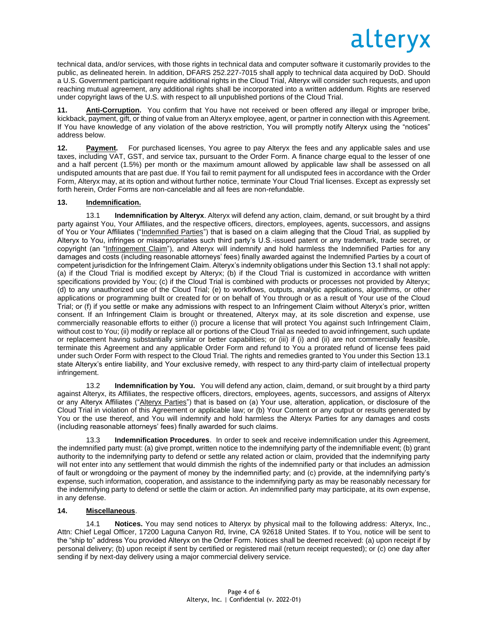technical data, and/or services, with those rights in technical data and computer software it customarily provides to the public, as delineated herein. In addition, DFARS 252.227-7015 shall apply to technical data acquired by DoD. Should a U.S. Government participant require additional rights in the Cloud Trial, Alteryx will consider such requests, and upon reaching mutual agreement, any additional rights shall be incorporated into a written addendum. Rights are reserved under copyright laws of the U.S. with respect to all unpublished portions of the Cloud Trial.

**11. Anti-Corruption.** You confirm that You have not received or been offered any illegal or improper bribe, kickback, payment, gift, or thing of value from an Alteryx employee, agent, or partner in connection with this Agreement. If You have knowledge of any violation of the above restriction, You will promptly notify Alteryx using the "notices" address below.

**12. Payment.** For purchased licenses, You agree to pay Alteryx the fees and any applicable sales and use taxes, including VAT, GST, and service tax, pursuant to the Order Form. A finance charge equal to the lesser of one and a half percent (1.5%) per month or the maximum amount allowed by applicable law shall be assessed on all undisputed amounts that are past due. If You fail to remit payment for all undisputed fees in accordance with the Order Form, Alteryx may, at its option and without further notice, terminate Your Cloud Trial licenses. Except as expressly set forth herein, Order Forms are non-cancelable and all fees are non-refundable.

## **13. Indemnification.**

13.1 **Indemnification by Alteryx**. Alteryx will defend any action, claim, demand, or suit brought by a third party against You, Your Affiliates, and the respective officers, directors, employees, agents, successors, and assigns of You or Your Affiliates ("Indemnified Parties") that is based on a claim alleging that the Cloud Trial, as supplied by Alteryx to You, infringes or misappropriates such third party's U.S.-issued patent or any trademark, trade secret, or copyright (an "Infringement Claim"), and Alteryx will indemnify and hold harmless the Indemnified Parties for any damages and costs (including reasonable attorneys' fees) finally awarded against the Indemnified Parties by a court of competent jurisdiction for the Infringement Claim. Alteryx's indemnity obligations under this Section 13.1 shall not apply: (a) if the Cloud Trial is modified except by Alteryx; (b) if the Cloud Trial is customized in accordance with written specifications provided by You; (c) if the Cloud Trial is combined with products or processes not provided by Alteryx; (d) to any unauthorized use of the Cloud Trial; (e) to workflows, outputs, analytic applications, algorithms, or other applications or programming built or created for or on behalf of You through or as a result of Your use of the Cloud Trial; or (f) if you settle or make any admissions with respect to an Infringement Claim without Alteryx's prior, written consent. If an Infringement Claim is brought or threatened, Alteryx may, at its sole discretion and expense, use commercially reasonable efforts to either (i) procure a license that will protect You against such Infringement Claim, without cost to You; (ii) modify or replace all or portions of the Cloud Trial as needed to avoid infringement, such update or replacement having substantially similar or better capabilities; or (iii) if (i) and (ii) are not commercially feasible, terminate this Agreement and any applicable Order Form and refund to You a prorated refund of license fees paid under such Order Form with respect to the Cloud Trial. The rights and remedies granted to You under this Section 13.1 state Alteryx's entire liability, and Your exclusive remedy, with respect to any third-party claim of intellectual property infringement.

13.2 **Indemnification by You.** You will defend any action, claim, demand, or suit brought by a third party against Alteryx, its Affiliates, the respective officers, directors, employees, agents, successors, and assigns of Alteryx or any Alteryx Affiliates ("Alteryx Parties") that is based on (a) Your use, alteration, application, or disclosure of the Cloud Trial in violation of this Agreement or applicable law; or (b) Your Content or any output or results generated by You or the use thereof, and You will indemnify and hold harmless the Alteryx Parties for any damages and costs (including reasonable attorneys' fees) finally awarded for such claims.

13.3 **Indemnification Procedures**. In order to seek and receive indemnification under this Agreement, the indemnified party must: (a) give prompt, written notice to the indemnifying party of the indemnifiable event; (b) grant authority to the indemnifying party to defend or settle any related action or claim, provided that the indemnifying party will not enter into any settlement that would dimmish the rights of the indemnified party or that includes an admission of fault or wrongdoing or the payment of money by the indemnified party; and (c) provide, at the indemnifying party's expense, such information, cooperation, and assistance to the indemnifying party as may be reasonably necessary for the indemnifying party to defend or settle the claim or action. An indemnified party may participate, at its own expense, in any defense.

### **14. Miscellaneous**.

14.1 **Notices.** You may send notices to Alteryx by physical mail to the following address: Alteryx, Inc., Attn: Chief Legal Officer, 17200 Laguna Canyon Rd, Irvine, CA 92618 United States. If to You, notice will be sent to the "ship to" address You provided Alteryx on the Order Form. Notices shall be deemed received: (a) upon receipt if by personal delivery; (b) upon receipt if sent by certified or registered mail (return receipt requested); or (c) one day after sending if by next-day delivery using a major commercial delivery service.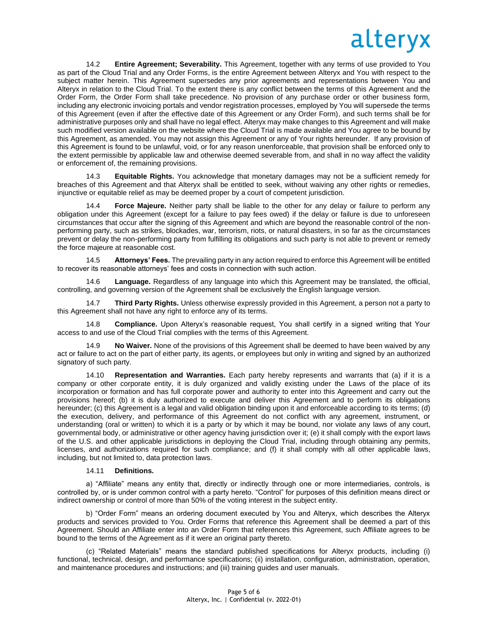14.2 **Entire Agreement; Severability.** This Agreement, together with any terms of use provided to You as part of the Cloud Trial and any Order Forms, is the entire Agreement between Alteryx and You with respect to the subject matter herein. This Agreement supersedes any prior agreements and representations between You and Alteryx in relation to the Cloud Trial. To the extent there is any conflict between the terms of this Agreement and the Order Form, the Order Form shall take precedence. No provision of any purchase order or other business form, including any electronic invoicing portals and vendor registration processes, employed by You will supersede the terms of this Agreement (even if after the effective date of this Agreement or any Order Form), and such terms shall be for administrative purposes only and shall have no legal effect. Alteryx may make changes to this Agreement and will make such modified version available on the website where the Cloud Trial is made available and You agree to be bound by this Agreement, as amended. You may not assign this Agreement or any of Your rights hereunder. If any provision of this Agreement is found to be unlawful, void, or for any reason unenforceable, that provision shall be enforced only to the extent permissible by applicable law and otherwise deemed severable from, and shall in no way affect the validity or enforcement of, the remaining provisions.

14.3 **Equitable Rights.** You acknowledge that monetary damages may not be a sufficient remedy for breaches of this Agreement and that Alteryx shall be entitled to seek, without waiving any other rights or remedies, injunctive or equitable relief as may be deemed proper by a court of competent jurisdiction.

14.4 **Force Majeure.** Neither party shall be liable to the other for any delay or failure to perform any obligation under this Agreement (except for a failure to pay fees owed) if the delay or failure is due to unforeseen circumstances that occur after the signing of this Agreement and which are beyond the reasonable control of the nonperforming party, such as strikes, blockades, war, terrorism, riots, or natural disasters, in so far as the circumstances prevent or delay the non-performing party from fulfilling its obligations and such party is not able to prevent or remedy the force majeure at reasonable cost.

14.5 **Attorneys' Fees.** The prevailing party in any action required to enforce this Agreement will be entitled to recover its reasonable attorneys' fees and costs in connection with such action.

14.6 **Language.** Regardless of any language into which this Agreement may be translated, the official, controlling, and governing version of the Agreement shall be exclusively the English language version.

14.7 **Third Party Rights.** Unless otherwise expressly provided in this Agreement, a person not a party to this Agreement shall not have any right to enforce any of its terms.

14.8 **Compliance.** Upon Alteryx's reasonable request, You shall certify in a signed writing that Your access to and use of the Cloud Trial complies with the terms of this Agreement.

14.9 **No Waiver.** None of the provisions of this Agreement shall be deemed to have been waived by any act or failure to act on the part of either party, its agents, or employees but only in writing and signed by an authorized signatory of such party.

14.10 **Representation and Warranties.** Each party hereby represents and warrants that (a) if it is a company or other corporate entity, it is duly organized and validly existing under the Laws of the place of its incorporation or formation and has full corporate power and authority to enter into this Agreement and carry out the provisions hereof; (b) it is duly authorized to execute and deliver this Agreement and to perform its obligations hereunder; (c) this Agreement is a legal and valid obligation binding upon it and enforceable according to its terms; (d) the execution, delivery, and performance of this Agreement do not conflict with any agreement, instrument, or understanding (oral or written) to which it is a party or by which it may be bound, nor violate any laws of any court, governmental body, or administrative or other agency having jurisdiction over it; (e) it shall comply with the export laws of the U.S. and other applicable jurisdictions in deploying the Cloud Trial, including through obtaining any permits, licenses, and authorizations required for such compliance; and (f) it shall comply with all other applicable laws, including, but not limited to, data protection laws.

#### 14.11 **Definitions.**

a) "Affiliate" means any entity that, directly or indirectly through one or more intermediaries, controls, is controlled by, or is under common control with a party hereto. "Control" for purposes of this definition means direct or indirect ownership or control of more than 50% of the voting interest in the subject entity.

b) "Order Form" means an ordering document executed by You and Alteryx, which describes the Alteryx products and services provided to You. Order Forms that reference this Agreement shall be deemed a part of this Agreement. Should an Affiliate enter into an Order Form that references this Agreement, such Affiliate agrees to be bound to the terms of the Agreement as if it were an original party thereto.

(c) "Related Materials" means the standard published specifications for Alteryx products, including (i) functional, technical, design, and performance specifications; (ii) installation, configuration, administration, operation, and maintenance procedures and instructions; and (iii) training guides and user manuals.